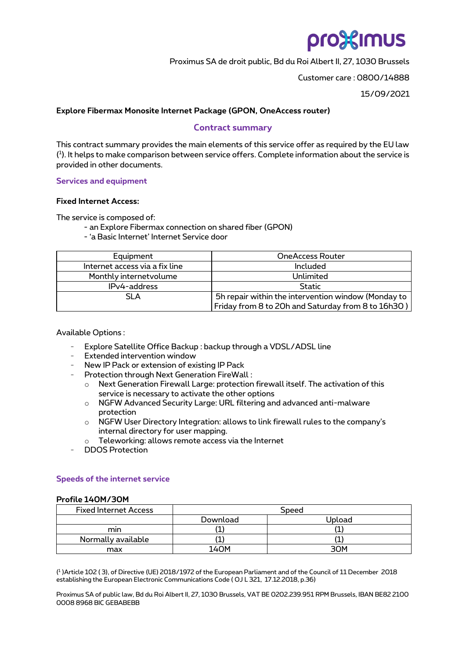# pro%imus

Proximus SA de droit public, Bd du Roi Albert II, 27, 1030 Brussels

Customer care : 0800/14888

15/09/2021

# **Explore Fibermax Monosite Internet Package (GPON, OneAccess router)**

## **Contract summary**

This contract summary provides the main elements of this service offer as required by the EU law ( 1 ). It helps to make comparison between service offers. Complete information about the service is provided in other documents.

## **Services and equipment**

## **Fixed Internet Access:**

The service is composed of:

- an Explore Fibermax connection on shared fiber (GPON)
- 'a Basic Internet' Internet Service door

| Equipment                      | <b>OneAccess Router</b>                                                                                    |
|--------------------------------|------------------------------------------------------------------------------------------------------------|
| Internet access via a fix line | Included                                                                                                   |
| Monthly internetvolume         | Unlimited                                                                                                  |
| IPv4-address                   | Static                                                                                                     |
| SL A                           | 5h repair within the intervention window (Monday to<br>Friday from 8 to 20h and Saturday from 8 to 16h30 ) |

Available Options :

- Explore Satellite Office Backup : backup through a VDSL/ADSL line
- Extended intervention window
- New IP Pack or extension of existing IP Pack
- Protection through Next Generation FireWall :
	- $\circ$  Next Generation Firewall Large: protection firewall itself. The activation of this service is necessary to activate the other options
	- o NGFW Advanced Security Large: URL filtering and advanced anti-malware protection
	- $\circ$  NGFW User Directory Integration: allows to link firewall rules to the company's internal directory for user mapping.
	- o Teleworking: allows remote access via the Internet
- DDOS Protection

## **Speeds of the internet service**

#### **Profile 140M/30M**

| <b>Fixed Internet Access</b> | Speed    |        |  |
|------------------------------|----------|--------|--|
|                              | Download | Upload |  |
| mın                          |          |        |  |
| Normally available           |          |        |  |
| max                          | 140M     | зом    |  |

( 1 )Article 102 ( 3), of Directive (UE) 2018/1972 of the European Parliament and of the Council of 11 December 2018 establishing the European Electronic Communications Code ( OJ L 321, 17.12.2018, p.36)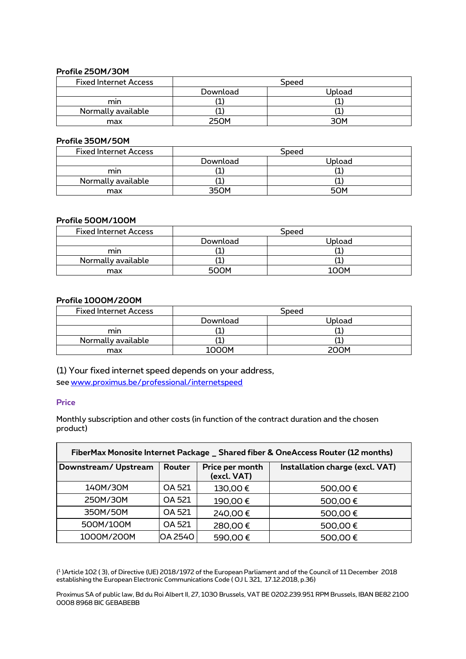## **Profile 250M/30M**

| <b>Fixed Internet Access</b> | Speed       |        |  |
|------------------------------|-------------|--------|--|
|                              | Download    | Upload |  |
| mın                          | -           |        |  |
| Normally available           |             |        |  |
| max                          | <b>250M</b> | R∩R    |  |

### **Profile 350M/50M**

| <b>Fixed Internet Access</b> | Speed    |        |  |
|------------------------------|----------|--------|--|
|                              | Download | Upload |  |
| mın                          |          |        |  |
| Normally available           |          |        |  |
| max                          | วร∩м     | 50M    |  |

## **Profile 500M/100M**

| <b>Fixed Internet Access</b> | <b>Speed</b> |        |  |
|------------------------------|--------------|--------|--|
|                              | Download     | Upload |  |
| mın                          |              |        |  |
| Normally available           |              |        |  |
| max                          | 500M         | 100M   |  |

## **Profile 1000M/200M**

| <b>Fixed Internet Access</b> | <b>Speed</b> |        |  |
|------------------------------|--------------|--------|--|
|                              | Download     | Upload |  |
| mın                          | <u>. н. </u> |        |  |
| Normally available           |              |        |  |
| max                          | 1000M        | 200M   |  |

(1) Your fixed internet speed depends on your address, see [www.proximus.be/professional/internetspeed](https://eur03.safelinks.protection.outlook.com/?url=http%3A%2F%2Fwww.proximus.be%2Fprofessional%2Finternetspeed&data=04%7C01%7Cnathalie.huyghebaert%40proximus.com%7C8519c66d39a34b75cf2f08d9fb7dec1f%7Ce7ab81b21e844bf79dcbb6fec01ed138%7C0%7C0%7C637817340510632558%7CUnknown%7CTWFpbGZsb3d8eyJWIjoiMC4wLjAwMDAiLCJQIjoiV2luMzIiLCJBTiI6Ik1haWwiLCJXVCI6Mn0%3D%7C3000&sdata=oG%2Bl0qABVUYm2iSRVI%2FI84SW6EwXNBpUNwfGQ86hMdE%3D&reserved=0)

## **Price**

Monthly subscription and other costs (in function of the contract duration and the chosen product)

| FiberMax Monosite Internet Package _ Shared fiber & OneAccess Router (12 months) |         |                                |                                 |  |  |
|----------------------------------------------------------------------------------|---------|--------------------------------|---------------------------------|--|--|
| Downstream/Upstream                                                              | Router  | Price per month<br>(excl. VAT) | Installation charge (excl. VAT) |  |  |
| 140M/30M                                                                         | OA 521  | 130,00€                        | 500,00€                         |  |  |
| 250M/30M                                                                         | OA 521  | 190,00€                        | 500,00€                         |  |  |
| 350M/50M                                                                         | OA 521  | 240,00€                        | 500,00€                         |  |  |
| 500M/100M                                                                        | OA 521  | 280,00€                        | 500,00€                         |  |  |
| 1000M/200M                                                                       | OA 2540 | 590,00€                        | 500,00€                         |  |  |

( 1 )Article 102 ( 3), of Directive (UE) 2018/1972 of the European Parliament and of the Council of 11 December 2018 establishing the European Electronic Communications Code ( OJ L 321, 17.12.2018, p.36)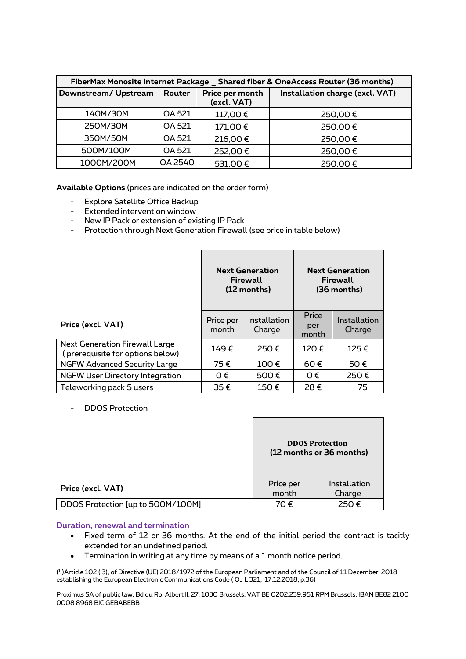| FiberMax Monosite Internet Package _ Shared fiber & OneAccess Router (36 months) |         |                                                                   |         |  |  |
|----------------------------------------------------------------------------------|---------|-------------------------------------------------------------------|---------|--|--|
| Downstream/Upstream                                                              | Router  | Installation charge (excl. VAT)<br>Price per month<br>(excl. VAT) |         |  |  |
| 140M/30M                                                                         | OA 521  | 117,00€                                                           | 250,00€ |  |  |
| 250M/30M                                                                         | OA 521  | 171,00€                                                           | 250,00€ |  |  |
| 350M/50M                                                                         | OA 521  | 216,00€                                                           | 250,00€ |  |  |
| 500M/100M                                                                        | OA 521  | 252,00€                                                           | 250,00€ |  |  |
| 1000M/200M                                                                       | OA 2540 | 531,00€                                                           | 250,00€ |  |  |

**Available Options** (prices are indicated on the order form)

- Explore Satellite Office Backup
- Extended intervention window
- New IP Pack or extension of existing IP Pack
- Protection through Next Generation Firewall (see price in table below)

|                                                                           | <b>Next Generation</b><br>Firewall<br>(12 months) |                               | <b>Next Generation</b><br>Firewall<br>(36 months) |                        |
|---------------------------------------------------------------------------|---------------------------------------------------|-------------------------------|---------------------------------------------------|------------------------|
| Price (excl. VAT)                                                         | Price per<br>month                                | <b>Installation</b><br>Charge | Price<br>per<br>month                             | Installation<br>Charge |
| <b>Next Generation Firewall Large</b><br>(prerequisite for options below) | 149€                                              | 250€                          | 120€                                              | 125€                   |
| <b>NGFW Advanced Security Large</b>                                       | 75€                                               | 100€                          | 60€                                               | 50€                    |
| <b>NGFW User Directory Integration</b>                                    | $0 \in$                                           | 500€                          | $\Omega \in$                                      | 250€                   |
| Teleworking pack 5 users                                                  | 35€                                               | 150€                          | 28€                                               | 75                     |

## - DDOS Protection

|                                   | <b>DDOS</b> Protection<br>(12 months or 36 months) |                        |  |
|-----------------------------------|----------------------------------------------------|------------------------|--|
| Price (excl. VAT)                 | Price per<br>month                                 | Installation<br>Charge |  |
| DDOS Protection [up to 500M/100M] | 70 €                                               | 250€                   |  |

#### **Duration, renewal and termination**

- Fixed term of 12 or 36 months. At the end of the initial period the contract is tacitly extended for an undefined period.
- Termination in writing at any time by means of a 1 month notice period.

( 1 )Article 102 ( 3), of Directive (UE) 2018/1972 of the European Parliament and of the Council of 11 December 2018 establishing the European Electronic Communications Code ( OJ L 321, 17.12.2018, p.36)